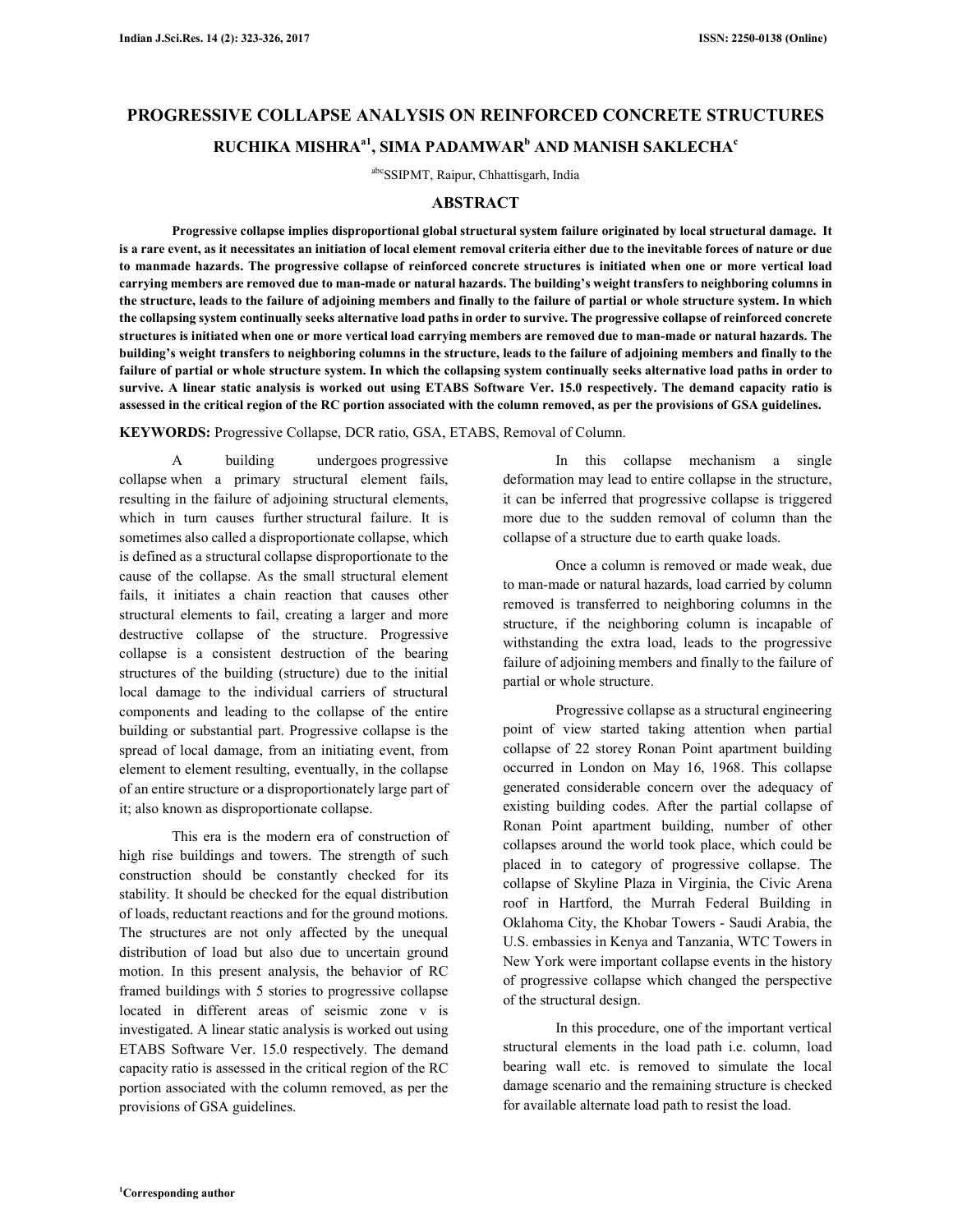# **PROGRESSIVE COLLAPSE ANALYSIS ON REINFORCED CONCRETE STRUCTURES RUCHIKA MISHRAa1, SIMA PADAMWAR<sup>b</sup> AND MANISH SAKLECHA<sup>c</sup>**

abcSSIPMT, Raipur, Chhattisgarh, India

#### **ABSTRACT**

**Progressive collapse implies disproportional global structural system failure originated by local structural damage. It is a rare event, as it necessitates an initiation of local element removal criteria either due to the inevitable forces of nature or due to manmade hazards. The progressive collapse of reinforced concrete structures is initiated when one or more vertical load carrying members are removed due to man-made or natural hazards. The building's weight transfers to neighboring columns in the structure, leads to the failure of adjoining members and finally to the failure of partial or whole structure system. In which the collapsing system continually seeks alternative load paths in order to survive. The progressive collapse of reinforced concrete structures is initiated when one or more vertical load carrying members are removed due to man-made or natural hazards. The building's weight transfers to neighboring columns in the structure, leads to the failure of adjoining members and finally to the failure of partial or whole structure system. In which the collapsing system continually seeks alternative load paths in order to survive. A linear static analysis is worked out using ETABS Software Ver. 15.0 respectively. The demand capacity ratio is assessed in the critical region of the RC portion associated with the column removed, as per the provisions of GSA guidelines.** 

**KEYWORDS:** Progressive Collapse, DCR ratio, GSA, ETABS, Removal of Column.

A building undergoes progressive collapse when a primary structural element fails, resulting in the failure of adjoining structural elements, which in turn causes further structural failure. It is sometimes also called a disproportionate collapse, which is defined as a structural collapse disproportionate to the cause of the collapse. As the small structural element fails, it initiates a chain reaction that causes other structural elements to fail, creating a larger and more destructive collapse of the structure. Progressive collapse is a consistent destruction of the bearing structures of the building (structure) due to the initial local damage to the individual carriers of structural components and leading to the collapse of the entire building or substantial part. Progressive collapse is the spread of local damage, from an initiating event, from element to element resulting, eventually, in the collapse of an entire structure or a disproportionately large part of it; also known as disproportionate collapse.

This era is the modern era of construction of high rise buildings and towers. The strength of such construction should be constantly checked for its stability. It should be checked for the equal distribution of loads, reductant reactions and for the ground motions. The structures are not only affected by the unequal distribution of load but also due to uncertain ground motion. In this present analysis, the behavior of RC framed buildings with 5 stories to progressive collapse located in different areas of seismic zone v is investigated. A linear static analysis is worked out using ETABS Software Ver. 15.0 respectively. The demand capacity ratio is assessed in the critical region of the RC portion associated with the column removed, as per the provisions of GSA guidelines.

In this collapse mechanism a single deformation may lead to entire collapse in the structure, it can be inferred that progressive collapse is triggered more due to the sudden removal of column than the collapse of a structure due to earth quake loads.

Once a column is removed or made weak, due to man-made or natural hazards, load carried by column removed is transferred to neighboring columns in the structure, if the neighboring column is incapable of withstanding the extra load, leads to the progressive failure of adjoining members and finally to the failure of partial or whole structure.

Progressive collapse as a structural engineering point of view started taking attention when partial collapse of 22 storey Ronan Point apartment building occurred in London on May 16, 1968. This collapse generated considerable concern over the adequacy of existing building codes. After the partial collapse of Ronan Point apartment building, number of other collapses around the world took place, which could be placed in to category of progressive collapse. The collapse of Skyline Plaza in Virginia, the Civic Arena roof in Hartford, the Murrah Federal Building in Oklahoma City, the Khobar Towers - Saudi Arabia, the U.S. embassies in Kenya and Tanzania, WTC Towers in New York were important collapse events in the history of progressive collapse which changed the perspective of the structural design.

In this procedure, one of the important vertical structural elements in the load path i.e. column, load bearing wall etc. is removed to simulate the local damage scenario and the remaining structure is checked for available alternate load path to resist the load.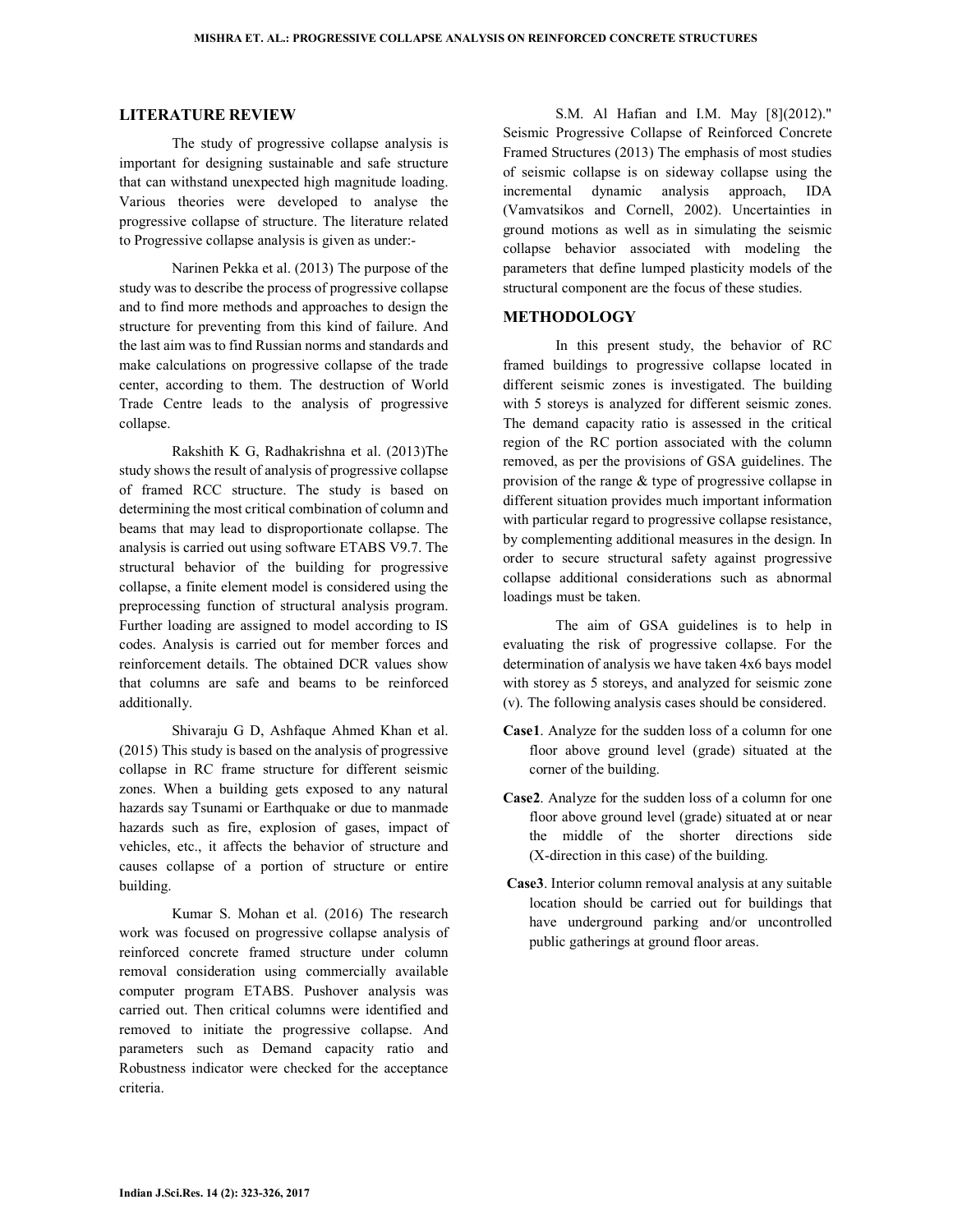### **LITERATURE REVIEW**

The study of progressive collapse analysis is important for designing sustainable and safe structure that can withstand unexpected high magnitude loading. Various theories were developed to analyse the progressive collapse of structure. The literature related to Progressive collapse analysis is given as under:-

Narinen Pekka et al. (2013) The purpose of the study was to describe the process of progressive collapse and to find more methods and approaches to design the structure for preventing from this kind of failure. And the last aim was to find Russian norms and standards and make calculations on progressive collapse of the trade center, according to them. The destruction of World Trade Centre leads to the analysis of progressive collapse.

Rakshith K G, Radhakrishna et al. (2013)The study shows the result of analysis of progressive collapse of framed RCC structure. The study is based on determining the most critical combination of column and beams that may lead to disproportionate collapse. The analysis is carried out using software ETABS V9.7. The structural behavior of the building for progressive collapse, a finite element model is considered using the preprocessing function of structural analysis program. Further loading are assigned to model according to IS codes. Analysis is carried out for member forces and reinforcement details. The obtained DCR values show that columns are safe and beams to be reinforced additionally.

Shivaraju G D, Ashfaque Ahmed Khan et al. (2015) This study is based on the analysis of progressive collapse in RC frame structure for different seismic zones. When a building gets exposed to any natural hazards say Tsunami or Earthquake or due to manmade hazards such as fire, explosion of gases, impact of vehicles, etc., it affects the behavior of structure and causes collapse of a portion of structure or entire building.

Kumar S. Mohan et al. (2016) The research work was focused on progressive collapse analysis of reinforced concrete framed structure under column removal consideration using commercially available computer program ETABS. Pushover analysis was carried out. Then critical columns were identified and removed to initiate the progressive collapse. And parameters such as Demand capacity ratio and Robustness indicator were checked for the acceptance criteria.

S.M. Al Hafian and I.M. May [8](2012)." Seismic Progressive Collapse of Reinforced Concrete Framed Structures (2013) The emphasis of most studies of seismic collapse is on sideway collapse using the incremental dynamic analysis approach, IDA (Vamvatsikos and Cornell, 2002). Uncertainties in ground motions as well as in simulating the seismic collapse behavior associated with modeling the parameters that define lumped plasticity models of the structural component are the focus of these studies.

# **METHODOLOGY**

In this present study, the behavior of RC framed buildings to progressive collapse located in different seismic zones is investigated. The building with 5 storeys is analyzed for different seismic zones. The demand capacity ratio is assessed in the critical region of the RC portion associated with the column removed, as per the provisions of GSA guidelines. The provision of the range & type of progressive collapse in different situation provides much important information with particular regard to progressive collapse resistance, by complementing additional measures in the design. In order to secure structural safety against progressive collapse additional considerations such as abnormal loadings must be taken.

The aim of GSA guidelines is to help in evaluating the risk of progressive collapse. For the determination of analysis we have taken 4x6 bays model with storey as 5 storeys, and analyzed for seismic zone (v). The following analysis cases should be considered.

- **Case1**. Analyze for the sudden loss of a column for one floor above ground level (grade) situated at the corner of the building.
- **Case2**. Analyze for the sudden loss of a column for one floor above ground level (grade) situated at or near the middle of the shorter directions side (X-direction in this case) of the building.
- **Case3**. Interior column removal analysis at any suitable location should be carried out for buildings that have underground parking and/or uncontrolled public gatherings at ground floor areas.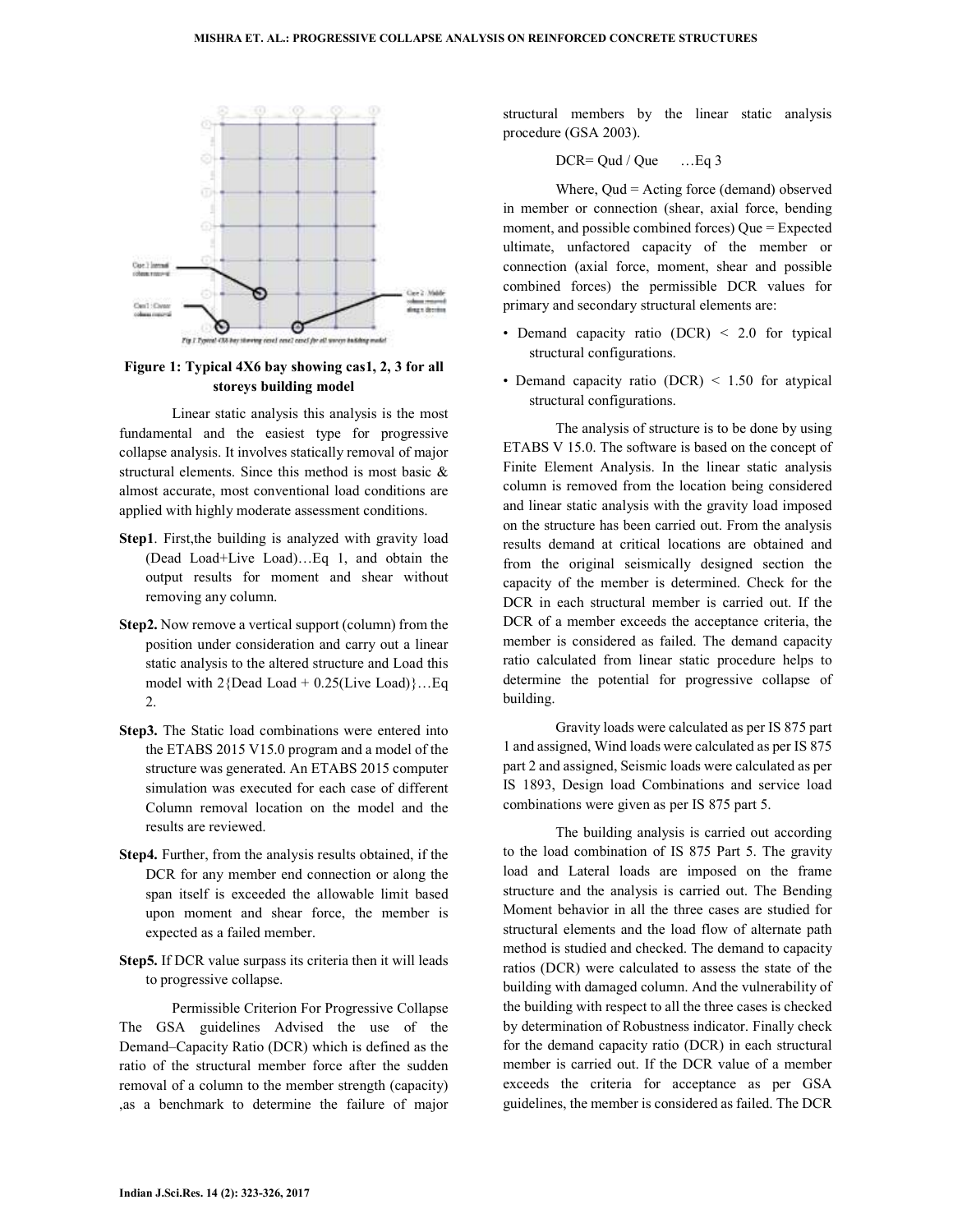

# **Figure 1: Typical 4X6 bay showing cas1, 2, 3 for all storeys building model**

Linear static analysis this analysis is the most fundamental and the easiest type for progressive collapse analysis. It involves statically removal of major structural elements. Since this method is most basic & almost accurate, most conventional load conditions are applied with highly moderate assessment conditions.

- Step1. First, the building is analyzed with gravity load (Dead Load+Live Load)…Eq 1, and obtain the output results for moment and shear without removing any column.
- **Step2.** Now remove a vertical support (column) from the position under consideration and carry out a linear static analysis to the altered structure and Load this model with  $2$ {Dead Load + 0.25(Live Load)}...Eq 2.
- **Step3.** The Static load combinations were entered into the ETABS 2015 V15.0 program and a model of the structure was generated. An ETABS 2015 computer simulation was executed for each case of different Column removal location on the model and the results are reviewed.
- **Step4.** Further, from the analysis results obtained, if the DCR for any member end connection or along the span itself is exceeded the allowable limit based upon moment and shear force, the member is expected as a failed member.
- **Step5.** If DCR value surpass its criteria then it will leads to progressive collapse.

Permissible Criterion For Progressive Collapse The GSA guidelines Advised the use of the Demand–Capacity Ratio (DCR) which is defined as the ratio of the structural member force after the sudden removal of a column to the member strength (capacity) ,as a benchmark to determine the failure of major

structural members by the linear static analysis procedure (GSA 2003).

$$
DCR = Qud / Que \qquad ... Eq 3
$$

Where, Oud = Acting force (demand) observed in member or connection (shear, axial force, bending moment, and possible combined forces) Que = Expected ultimate, unfactored capacity of the member or connection (axial force, moment, shear and possible combined forces) the permissible DCR values for primary and secondary structural elements are:

- Demand capacity ratio (DCR) < 2.0 for typical structural configurations.
- Demand capacity ratio (DCR) < 1.50 for atypical structural configurations.

The analysis of structure is to be done by using ETABS V 15.0. The software is based on the concept of Finite Element Analysis. In the linear static analysis column is removed from the location being considered and linear static analysis with the gravity load imposed on the structure has been carried out. From the analysis results demand at critical locations are obtained and from the original seismically designed section the capacity of the member is determined. Check for the DCR in each structural member is carried out. If the DCR of a member exceeds the acceptance criteria, the member is considered as failed. The demand capacity ratio calculated from linear static procedure helps to determine the potential for progressive collapse of building.

Gravity loads were calculated as per IS 875 part 1 and assigned, Wind loads were calculated as per IS 875 part 2 and assigned, Seismic loads were calculated as per IS 1893, Design load Combinations and service load combinations were given as per IS 875 part 5.

The building analysis is carried out according to the load combination of IS 875 Part 5. The gravity load and Lateral loads are imposed on the frame structure and the analysis is carried out. The Bending Moment behavior in all the three cases are studied for structural elements and the load flow of alternate path method is studied and checked. The demand to capacity ratios (DCR) were calculated to assess the state of the building with damaged column. And the vulnerability of the building with respect to all the three cases is checked by determination of Robustness indicator. Finally check for the demand capacity ratio (DCR) in each structural member is carried out. If the DCR value of a member exceeds the criteria for acceptance as per GSA guidelines, the member is considered as failed. The DCR